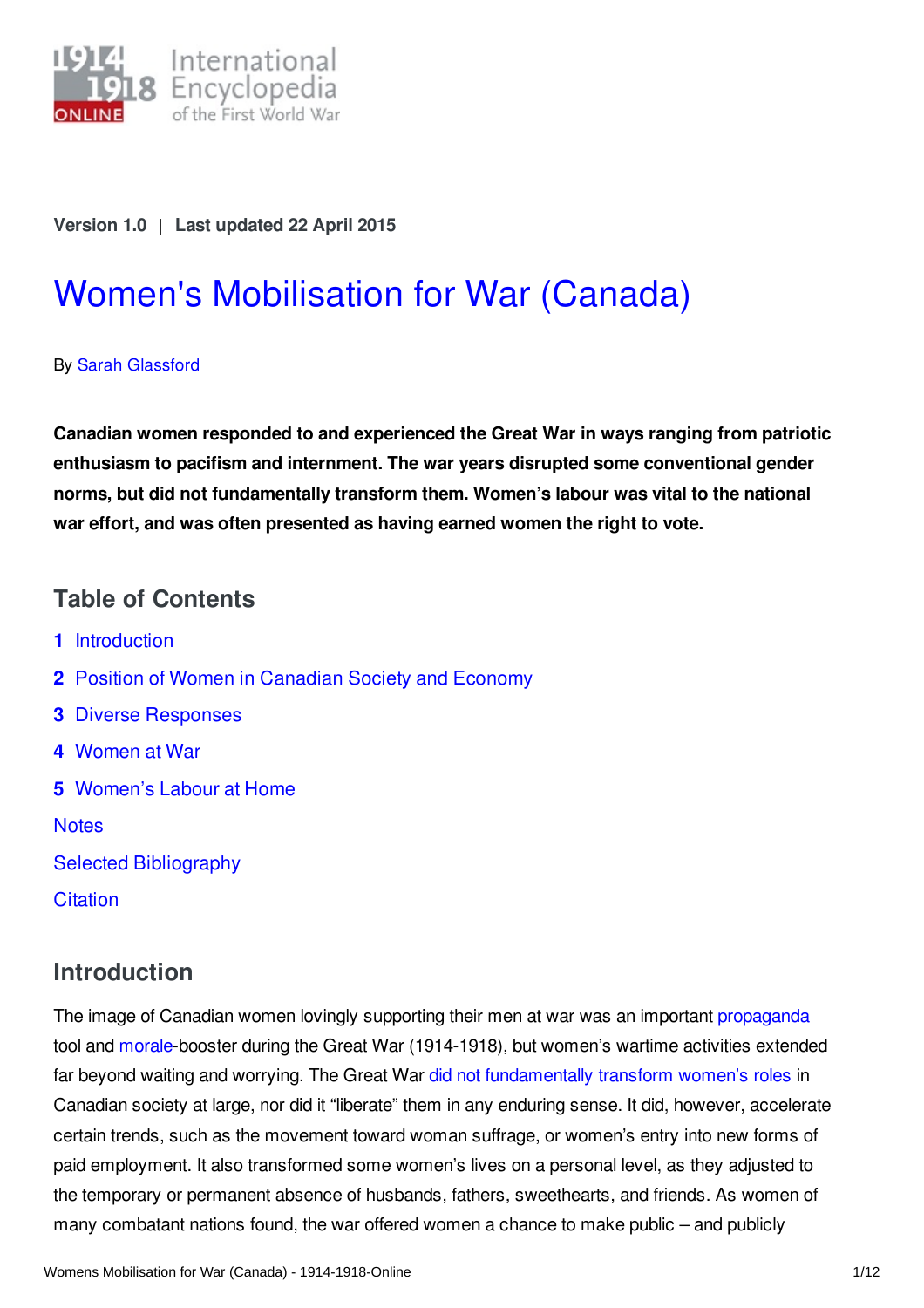

#### **Version 1.0** | **Last updated 22 April 2015**

# Women's [Mobilisation](https://encyclopedia.1914-1918-online.net/article/womens_mobilisation_for_war_canada) for War (Canada)

By Sarah [Glassford](https://encyclopedia.1914-1918-online.net/contributors/Sarah_Glassford)

**Canadian women responded to and experienced the Great War in ways ranging from patriotic enthusiasm to pacifism and internment. The war years disrupted some conventional gender norms, but did not fundamentally transform them. Women's labour was vital to the national war effort, and was often presented as having earned women the right to vote.**

## **Table of Contents**

- **1** [Introduction](#page-0-0)
- **2** Position of Women in [Canadian](#page-1-0) Society and Economy
- **3** Diverse [Responses](#page-1-1)
- **4** [Women](#page-4-0) at War
- **5** [Women's](#page-5-0) Labour at Home

**[Notes](#page-6-0)** 

- Selected [Bibliography](#page-9-0)
- **[Citation](#page-11-0)**

# <span id="page-0-0"></span>**Introduction**

The image of Canadian women lovingly supporting their men at war was an important [propaganda](/article/propaganda_media_in_war_politics) tool and [morale](/article/civilian_morale)-booster during the Great War (1914-1918), but women's wartime activities extended far beyond waiting and worrying. The Great War did not [fundamentally](/article/controversy_war-related_changes_in_gender_relations_the_issue_of_womens_citizenship) transform women's roles in Canadian society at large, nor did it "liberate" them in any enduring sense. It did, however, accelerate certain trends, such as the movement toward woman suffrage, or women's entry into new forms of paid employment. It also transformed some women's lives on a personal level, as they adjusted to the temporary or permanent absence of husbands, fathers, sweethearts, and friends. As women of many combatant nations found, the war offered women a chance to make public – and publicly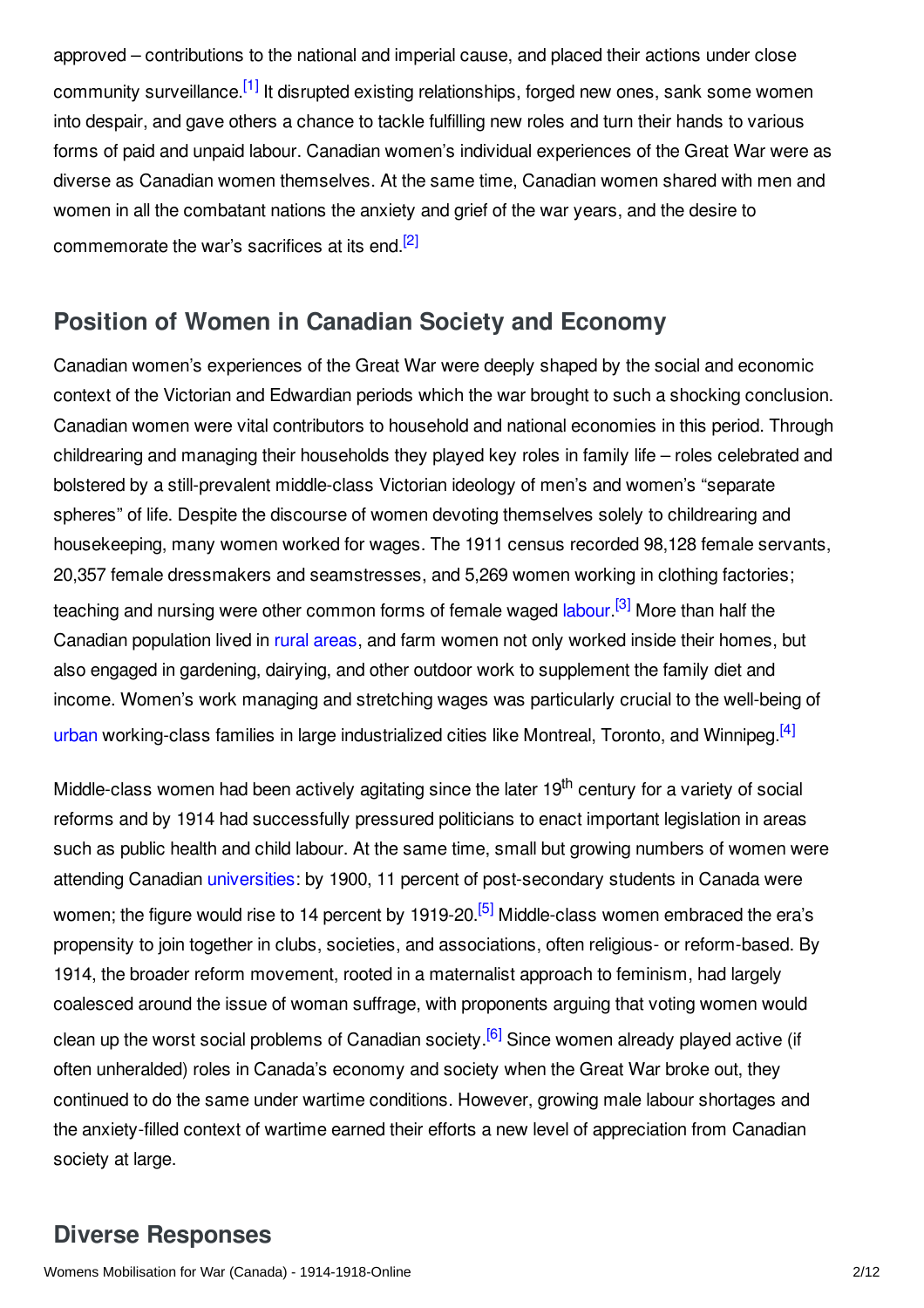<span id="page-1-2"></span>approved – contributions to the national and imperial cause, and placed their actions under close community surveillance.<sup>[\[1\]](#page-7-0)</sup> It disrupted existing relationships, forged new ones, sank some women into despair, and gave others a chance to tackle fulfilling new roles and turn their hands to various forms of paid and unpaid labour. Canadian women's individual experiences of the Great War were as diverse as Canadian women themselves. At the same time, Canadian women shared with men and women in all the combatant nations the anxiety and grief of the war years, and the desire to commemorate the war's sacrifices at its end.<sup>[\[2\]](#page-7-1)</sup>

#### <span id="page-1-3"></span><span id="page-1-0"></span>**Position of Women in Canadian Society and Economy**

Canadian women's experiences of the Great War were deeply shaped by the social and economic context of the Victorian and Edwardian periods which the war brought to such a shocking conclusion. Canadian women were vital contributors to household and national economies in this period. Through childrearing and managing their households they played key roles in family life – roles celebrated and bolstered by a still-prevalent middle-class Victorian ideology of men's and women's "separate spheres" of life. Despite the discourse of women devoting themselves solely to childrearing and housekeeping, many women worked for wages. The 1911 census recorded 98,128 female servants, 20,357 female dressmakers and seamstresses, and 5,269 women working in clothing factories; teaching and nursing were other common forms of female waged [labour](/article/labor) <sup>[\[3\]](#page-7-2)</sup> More than half the Canadian population lived in rural [areas](/article/rural_society), and farm women not only worked inside their homes, but also engaged in gardening, dairying, and other outdoor work to supplement the family diet and income. Women's work managing and stretching wages was particularly crucial to the well-being of [urban](/article/urban_societies_and_cities) working-class families in large industrialized cities like Montreal, Toronto, and Winnipeg.<sup>[\[4\]](#page-7-3)</sup>

<span id="page-1-6"></span><span id="page-1-5"></span><span id="page-1-4"></span>Middle-class women had been actively agitating since the later 19<sup>th</sup> century for a variety of social reforms and by 1914 had successfully pressured politicians to enact important legislation in areas such as public health and child labour. At the same time, small but growing numbers of women were attending Canadian [universities](/article/schools_and_universities): by 1900, 11 percent of post-secondary students in Canada were women; the figure would rise to 14 percent by 1919-20.<sup>[\[5\]](#page-7-4)</sup> Middle-class women embraced the era's propensity to join together in clubs, societies, and associations, often religious- or reform-based. By 1914, the broader reform movement, rooted in a maternalist approach to feminism, had largely coalesced around the issue of woman suffrage, with proponents arguing that voting women would clean up the worst social problems of Canadian society.<sup>[\[6\]](#page-7-5)</sup> Since women already played active (if often unheralded) roles in Canada's economy and society when the Great War broke out, they continued to do the same under wartime conditions. However, growing male labour shortages and the anxiety-filled context of wartime earned their efforts a new level of appreciation from Canadian society at large.

# <span id="page-1-7"></span><span id="page-1-1"></span>**Diverse Responses**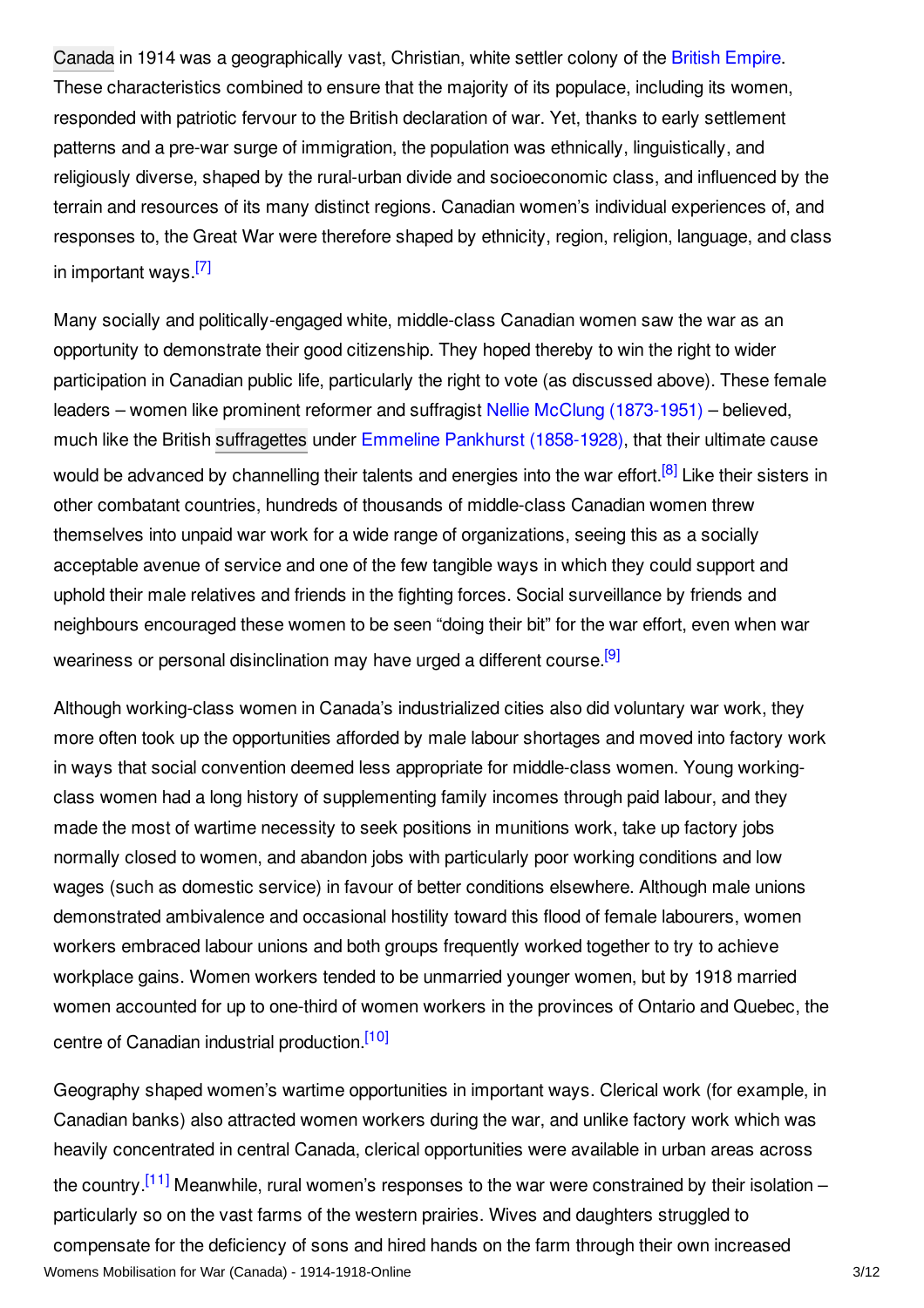[Canada](/article/canada) in 1914 was a geographically vast, Christian, white settler colony of the British [Empire](/article/great_britain). These characteristics combined to ensure that the majority of its populace, including its women, responded with patriotic fervour to the British declaration of war. Yet, thanks to early settlement patterns and a pre-war surge of immigration, the population was ethnically, linguistically, and religiously diverse, shaped by the rural-urban divide and socioeconomic class, and influenced by the terrain and resources of its many distinct regions. Canadian women's individual experiences of, and responses to, the Great War were therefore shaped by ethnicity, region, religion, language, and class in important ways.<sup>[\[7\]](#page-7-6)</sup>

<span id="page-2-1"></span><span id="page-2-0"></span>Many socially and politically-engaged white, middle-class Canadian women saw the war as an opportunity to demonstrate their good citizenship. They hoped thereby to win the right to wider participation in Canadian public life, particularly the right to vote (as discussed above). These female leaders – women like prominent reformer and suffragist Nellie McClung [\(1873-1951\)](/index/names/119442469) – believed, much like the British [suffragettes](/article/suffragettes) under Emmeline Pankhurst [\(1858-1928\)](/index/names/118789473), that their ultimate cause would be advanced by channelling their talents and energies into the war effort.<sup>[\[8\]](#page-7-7)</sup> Like their sisters in other combatant countries, hundreds of thousands of middle-class Canadian women threw themselves into unpaid war work for a wide range of organizations, seeing this as a socially acceptable avenue of service and one of the few tangible ways in which they could support and uphold their male relatives and friends in the fighting forces. Social surveillance by friends and neighbours encouraged these women to be seen "doing their bit" for the war effort, even when war weariness or personal disinclination may have urged a different course.<sup>[\[9\]](#page-7-8)</sup>

<span id="page-2-2"></span>Although working-class women in Canada's industrialized cities also did voluntary war work, they more often took up the opportunities afforded by male labour shortages and moved into factory work in ways that social convention deemed less appropriate for middle-class women. Young workingclass women had a long history of supplementing family incomes through paid labour, and they made the most of wartime necessity to seek positions in munitions work, take up factory jobs normally closed to women, and abandon jobs with particularly poor working conditions and low wages (such as domestic service) in favour of better conditions elsewhere. Although male unions demonstrated ambivalence and occasional hostility toward this flood of female labourers, women workers embraced labour unions and both groups frequently worked together to try to achieve workplace gains. Women workers tended to be unmarried younger women, but by 1918 married women accounted for up to one-third of women workers in the provinces of Ontario and Quebec, the centre of Canadian industrial production.<sup>[\[10\]](#page-7-9)</sup>

<span id="page-2-4"></span><span id="page-2-3"></span>Geography shaped women's wartime opportunities in important ways. Clerical work (for example, in Canadian banks) also attracted women workers during the war, and unlike factory work which was heavily concentrated in central Canada, clerical opportunities were available in urban areas across the country.<sup>[\[11\]](#page-7-10)</sup> Meanwhile, rural women's responses to the war were constrained by their isolation – particularly so on the vast farms of the western prairies. Wives and daughters struggled to compensate for the deficiency of sons and hired hands on the farm through their own increased Womens Mobilisation for War (Canada) - 1914-1918-Online 3/12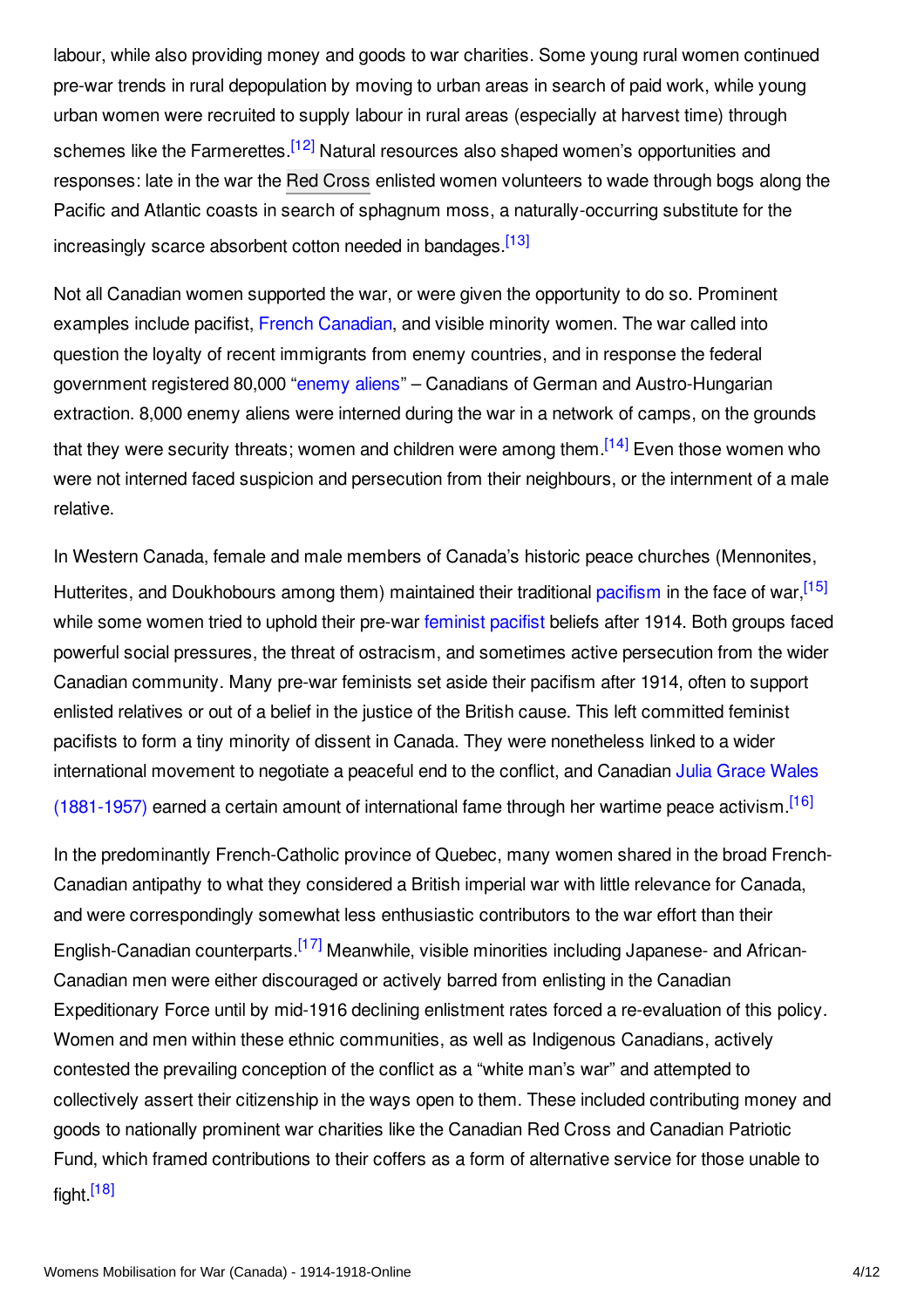<span id="page-3-0"></span>labour, while also providing money and goods to war charities. Some young rural women continued pre-war trends in rural depopulation by moving to urban areas in search of paid work, while young urban women were recruited to supply labour in rural areas (especially at harvest time) through schemes like the Farmerettes.<sup>[\[12\]](#page-7-11)</sup> Natural resources also shaped women's opportunities and responses: late in the war the Red [Cross](/article/red_cross) enlisted women volunteers to wade through bogs along the Pacific and Atlantic coasts in search of sphagnum moss, a naturally-occurring substitute for the increasingly scarce absorbent cotton needed in bandages [\[13\]](#page-7-12)

<span id="page-3-1"></span>Not all Canadian women supported the war, or were given the opportunity to do so. Prominent examples include pacifist, French [Canadian](/article/french_canada_and_the_war_canada), and visible minority women. The war called into question the loyalty of recent immigrants from enemy countries, and in response the federal government registered 80,000 ["enemy](/article/enemy_aliens_and_internment) aliens" – Canadians of German and Austro-Hungarian extraction. 8,000 enemy aliens were interned during the war in a network of camps, on the grounds that they were security threats; women and children were among them.<sup>[\[14\]](#page-7-13)</sup> Even those women who were not interned faced suspicion and persecution from their neighbours, or the internment of a male relative.

<span id="page-3-3"></span><span id="page-3-2"></span>In Western Canada, female and male members of Canada's historic peace churches (Mennonites, Hutterites, and Doukhobours among them) maintained their traditional [pacifism](/article/pacifism) in the face of war, [\[15\]](#page-7-14) while some women tried to uphold their pre-war [feminist](/article/feminist_pacifism) pacifist beliefs after 1914. Both groups faced powerful social pressures, the threat of ostracism, and sometimes active persecution from the wider Canadian community. Many pre-war feminists set aside their pacifism after 1914, often to support enlisted relatives or out of a belief in the justice of the British cause. This left committed feminist pacifists to form a tiny minority of dissent in Canada. They were nonetheless linked to a wider international movement to negotiate a peaceful end to the conflict, and Canadian Julia Grace Wales [\(1881-1957\)](/index/names/1069388289) earned a certain amount of international fame through her wartime peace activism. [\[16\]](#page-8-0)

<span id="page-3-6"></span><span id="page-3-5"></span><span id="page-3-4"></span>In the predominantly French-Catholic province of Quebec, many women shared in the broad French-Canadian antipathy to what they considered a British imperial war with little relevance for Canada, and were correspondingly somewhat less enthusiastic contributors to the war effort than their English-Canadian counterparts.<sup>[\[17\]](#page-8-1)</sup> Meanwhile, visible minorities including Japanese- and African-Canadian men were either discouraged or actively barred from enlisting in the Canadian Expeditionary Force until by mid-1916 declining enlistment rates forced a re-evaluation of this policy. Women and men within these ethnic communities, as well as Indigenous Canadians, actively contested the prevailing conception of the conflict as a "white man's war" and attempted to collectively assert their citizenship in the ways open to them. These included contributing money and goods to nationally prominent war charities like the Canadian Red Cross and Canadian Patriotic Fund, which framed contributions to their coffers as a form of alternative service for those unable to fight.<sup>[\[18\]](#page-8-2)</sup>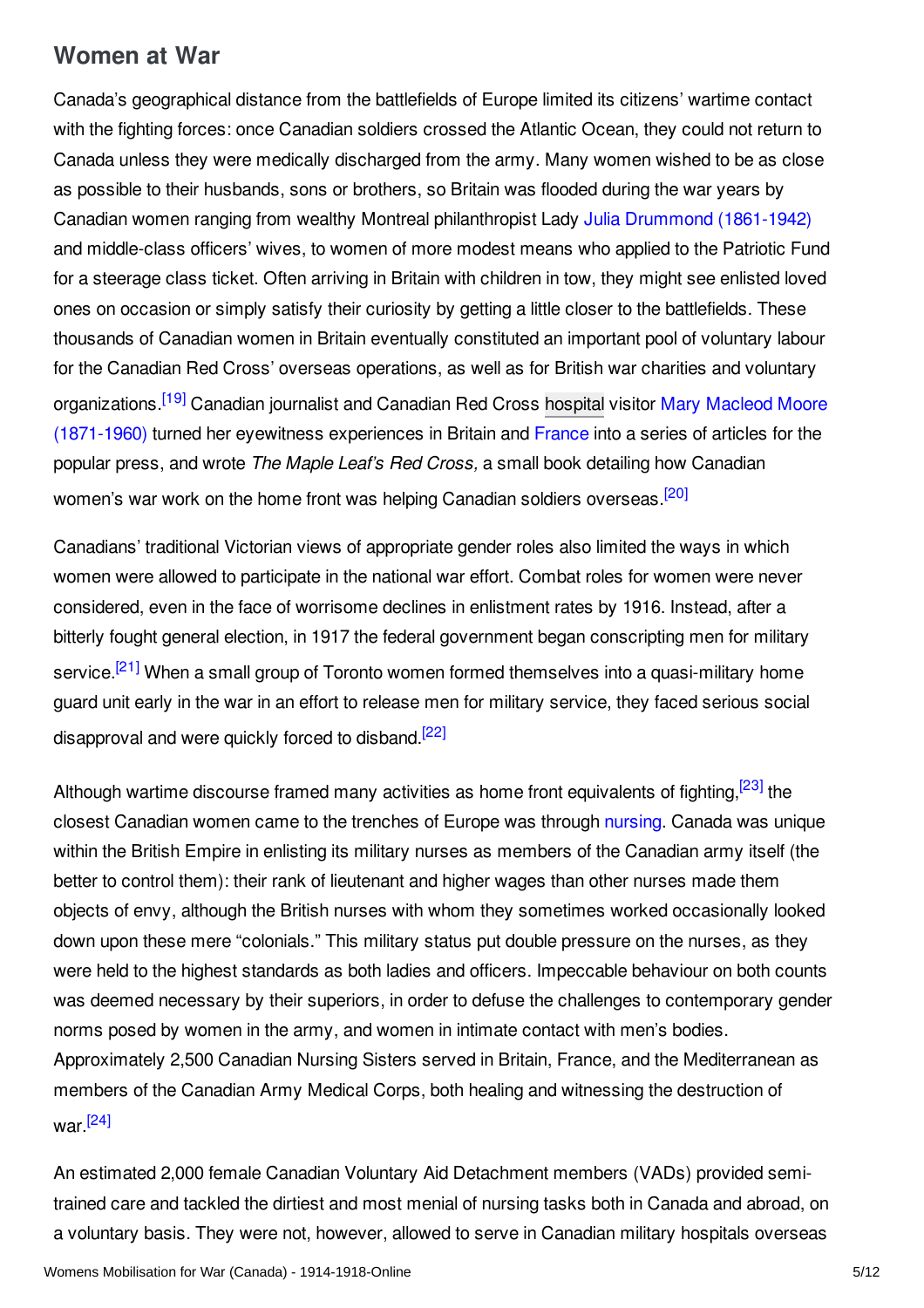# <span id="page-4-0"></span>**Women at War**

Canada's geographical distance from the battlefields of Europe limited its citizens' wartime contact with the fighting forces: once Canadian soldiers crossed the Atlantic Ocean, they could not return to Canada unless they were medically discharged from the army. Many women wished to be as close as possible to their husbands, sons or brothers, so Britain was flooded during the war years by Canadian women ranging from wealthy Montreal philanthropist Lady Julia Drummond [\(1861-1942\)](/index/names/1069389285) and middle-class officers' wives, to women of more modest means who applied to the Patriotic Fund for a steerage class ticket. Often arriving in Britain with children in tow, they might see enlisted loved ones on occasion or simply satisfy their curiosity by getting a little closer to the battlefields. These thousands of Canadian women in Britain eventually constituted an important pool of voluntary labour for the Canadian Red Cross' overseas operations, as well as for British war charities and voluntary [organizations.](/index/names/106938979X)<sup>[\[19\]](#page-8-3)</sup> Canadian journalist and Canadian Red Cross [hospital](/article/hospitals) visitor Mary Macleod Moore (1871-1960) turned her eyewitness experiences in Britain and [France](/article/france) into a series of articles for the popular press, and wrote *The Maple Leaf's Red Cross,* a small book detailing how Canadian women's war work on the home front was helping Canadian soldiers overseas.<sup>[\[20\]](#page-8-4)</sup>

<span id="page-4-3"></span><span id="page-4-2"></span><span id="page-4-1"></span>Canadians' traditional Victorian views of appropriate gender roles also limited the ways in which women were allowed to participate in the national war effort. Combat roles for women were never considered, even in the face of worrisome declines in enlistment rates by 1916. Instead, after a bitterly fought general election, in 1917 the federal government began conscripting men for military service.<sup>[\[21\]](#page-8-5)</sup> When a small group of Toronto women formed themselves into a quasi-military home guard unit early in the war in an effort to release men for military service, they faced serious social disapproval and were quickly forced to disband.<sup>[\[22\]](#page-8-6)</sup>

<span id="page-4-5"></span><span id="page-4-4"></span>Although wartime discourse framed many activities as home front equivalents of fighting,<sup>[\[23\]](#page-8-7)</sup> the closest Canadian women came to the trenches of Europe was through [nursing](/index/names/4079163-4). Canada was unique within the British Empire in enlisting its military nurses as members of the Canadian army itself (the better to control them): their rank of lieutenant and higher wages than other nurses made them objects of envy, although the British nurses with whom they sometimes worked occasionally looked down upon these mere "colonials." This military status put double pressure on the nurses, as they were held to the highest standards as both ladies and officers. Impeccable behaviour on both counts was deemed necessary by their superiors, in order to defuse the challenges to contemporary gender norms posed by women in the army, and women in intimate contact with men's bodies. Approximately 2,500 Canadian Nursing Sisters served in Britain, France, and the Mediterranean as members of the Canadian Army Medical Corps, both healing and witnessing the destruction of war. [\[24\]](#page-8-8)

<span id="page-4-6"></span>An estimated 2,000 female Canadian Voluntary Aid Detachment members (VADs) provided semitrained care and tackled the dirtiest and most menial of nursing tasks both in Canada and abroad, on a voluntary basis. They were not, however, allowed to serve in Canadian military hospitals overseas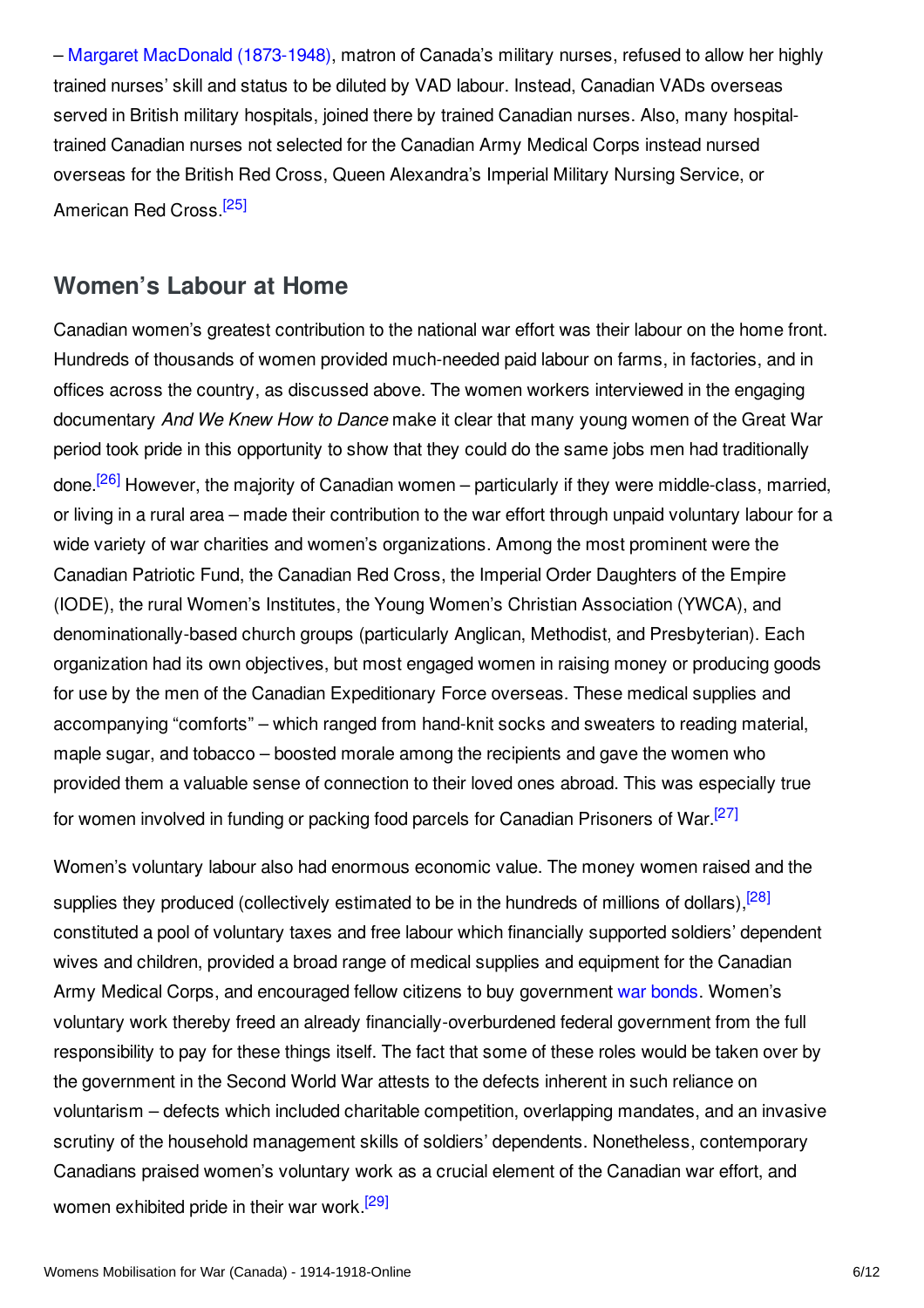– Margaret MacDonald [\(1873-1948\)](/index/names/1069390577), matron of Canada's military nurses, refused to allow her highly trained nurses' skill and status to be diluted by VAD labour. Instead, Canadian VADs overseas served in British military hospitals, joined there by trained Canadian nurses. Also, many hospitaltrained Canadian nurses not selected for the Canadian Army Medical Corps instead nursed overseas for the British Red Cross, Queen Alexandra's Imperial Military Nursing Service, or American Red Cross.<sup>[\[25\]](#page-9-1)</sup>

### <span id="page-5-1"></span><span id="page-5-0"></span>**Women's Labour at Home**

<span id="page-5-2"></span>Canadian women's greatest contribution to the national war effort was their labour on the home front. Hundreds of thousands of women provided much-needed paid labour on farms, in factories, and in offices across the country, as discussed above. The women workers interviewed in the engaging documentary *And We Knew How to Dance* make it clear that many young women of the Great War period took pride in this opportunity to show that they could do the same jobs men had traditionally done.<sup>[\[26\]](#page-9-2)</sup> However, the majority of Canadian women – particularly if they were middle-class, married, or living in a rural area – made their contribution to the war effort through unpaid voluntary labour for a wide variety of war charities and women's organizations. Among the most prominent were the Canadian Patriotic Fund, the Canadian Red Cross, the Imperial Order Daughters of the Empire (IODE), the rural Women's Institutes, the Young Women's Christian Association (YWCA), and denominationally-based church groups (particularly Anglican, Methodist, and Presbyterian). Each organization had its own objectives, but most engaged women in raising money or producing goods for use by the men of the Canadian Expeditionary Force overseas. These medical supplies and accompanying "comforts" – which ranged from hand-knit socks and sweaters to reading material, maple sugar, and tobacco – boosted morale among the recipients and gave the women who provided them a valuable sense of connection to their loved ones abroad. This was especially true for women involved in funding or packing food parcels for Canadian Prisoners of War.<sup>[\[27\]](#page-9-3)</sup>

<span id="page-5-5"></span><span id="page-5-4"></span><span id="page-5-3"></span>Women's voluntary labour also had enormous economic value. The money women raised and the supplies they produced (collectively estimated to be in the hundreds of millions of dollars),<sup>[\[28\]](#page-9-4)</sup> constituted a pool of voluntary taxes and free labour which financially supported soldiers' dependent wives and children, provided a broad range of medical supplies and equipment for the Canadian Army Medical Corps, and encouraged fellow citizens to buy government war [bonds](/article/war_bonds). Women's voluntary work thereby freed an already financially-overburdened federal government from the full responsibility to pay for these things itself. The fact that some of these roles would be taken over by the government in the Second World War attests to the defects inherent in such reliance on voluntarism – defects which included charitable competition, overlapping mandates, and an invasive scrutiny of the household management skills of soldiers' dependents. Nonetheless, contemporary Canadians praised women's voluntary work as a crucial element of the Canadian war effort, and women exhibited pride in their war work.<sup>[\[29\]](#page-9-5)</sup>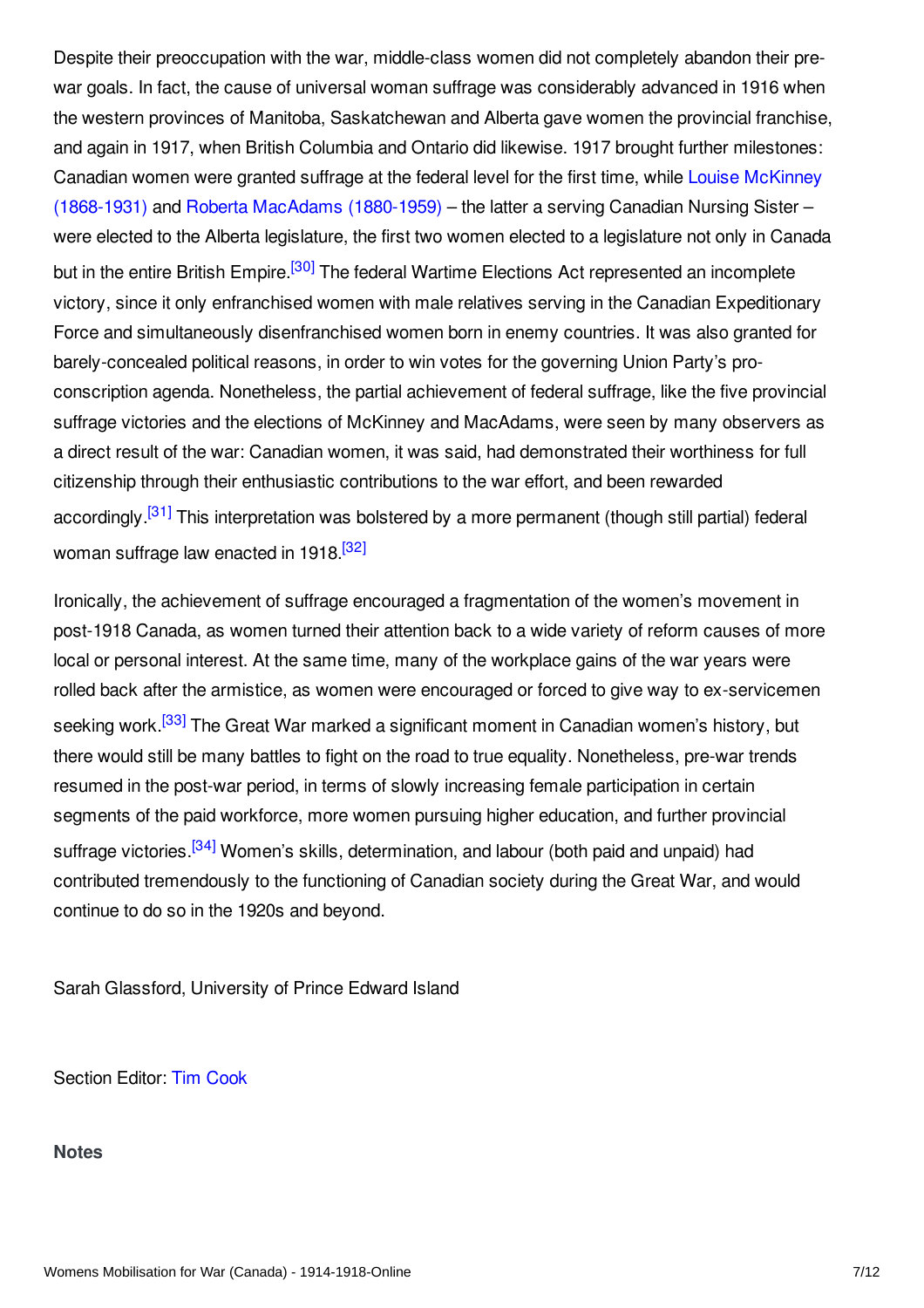<span id="page-6-1"></span>Despite their preoccupation with the war, middle-class women did not completely abandon their prewar goals. In fact, the cause of universal woman suffrage was considerably advanced in 1916 when the western provinces of Manitoba, Saskatchewan and Alberta gave women the provincial franchise, and again in 1917, when British Columbia and Ontario did likewise. 1917 brought further milestones: Canadian women were granted suffrage at the federal level for the first time, while Louise McKinney (1868-1931) and Roberta MacAdams [\(1880-1959\)](/index/names/1069397385) – the latter a serving Canadian Nursing Sister – were elected to the Alberta legislature, the first two women elected to a legislature not only in Canada but in the entire British Empire.<sup>[\[30\]](#page-9-6)</sup> The federal Wartime Elections Act represented an incomplete victory, since it only enfranchised women with male relatives serving in the Canadian Expeditionary Force and simultaneously disenfranchised women born in enemy countries. It was also granted for barely-concealed political reasons, in order to win votes for the governing Union Party's proconscription agenda. Nonetheless, the partial achievement of federal suffrage, like the five provincial suffrage victories and the elections of McKinney and MacAdams, were seen by many observers as a direct result of the war: Canadian women, it was said, had demonstrated their worthiness for full citizenship through their enthusiastic contributions to the war effort, and been rewarded accordingly.<sup>[\[31\]](#page-9-7)</sup> This interpretation was bolstered by a more permanent (though still partial) federal woman suffrage law enacted in 1918.<sup>[\[32\]](#page-9-8)</sup>

<span id="page-6-4"></span><span id="page-6-3"></span><span id="page-6-2"></span>Ironically, the achievement of suffrage encouraged a fragmentation of the women's movement in post-1918 Canada, as women turned their attention back to a wide variety of reform causes of more local or personal interest. At the same time, many of the workplace gains of the war years were rolled back after the armistice, as women were encouraged or forced to give way to ex-servicemen seeking work.<sup>[\[33\]](#page-9-9)</sup> The Great War marked a significant moment in Canadian women's history, but there would still be many battles to fight on the road to true equality. Nonetheless, pre-war trends resumed in the post-war period, in terms of slowly increasing female participation in certain segments of the paid workforce, more women pursuing higher education, and further provincial suffrage victories.<sup>[\[34\]](#page-9-10)</sup> Women's skills, determination, and labour (both paid and unpaid) had contributed tremendously to the functioning of Canadian society during the Great War, and would continue to do so in the 1920s and beyond.

<span id="page-6-5"></span>Sarah Glassford, University of Prince Edward Island

Section Editor: Tim [Cook](https://encyclopedia.1914-1918-online.net/contributors/Tim_Cook)

#### <span id="page-6-0"></span>**Notes**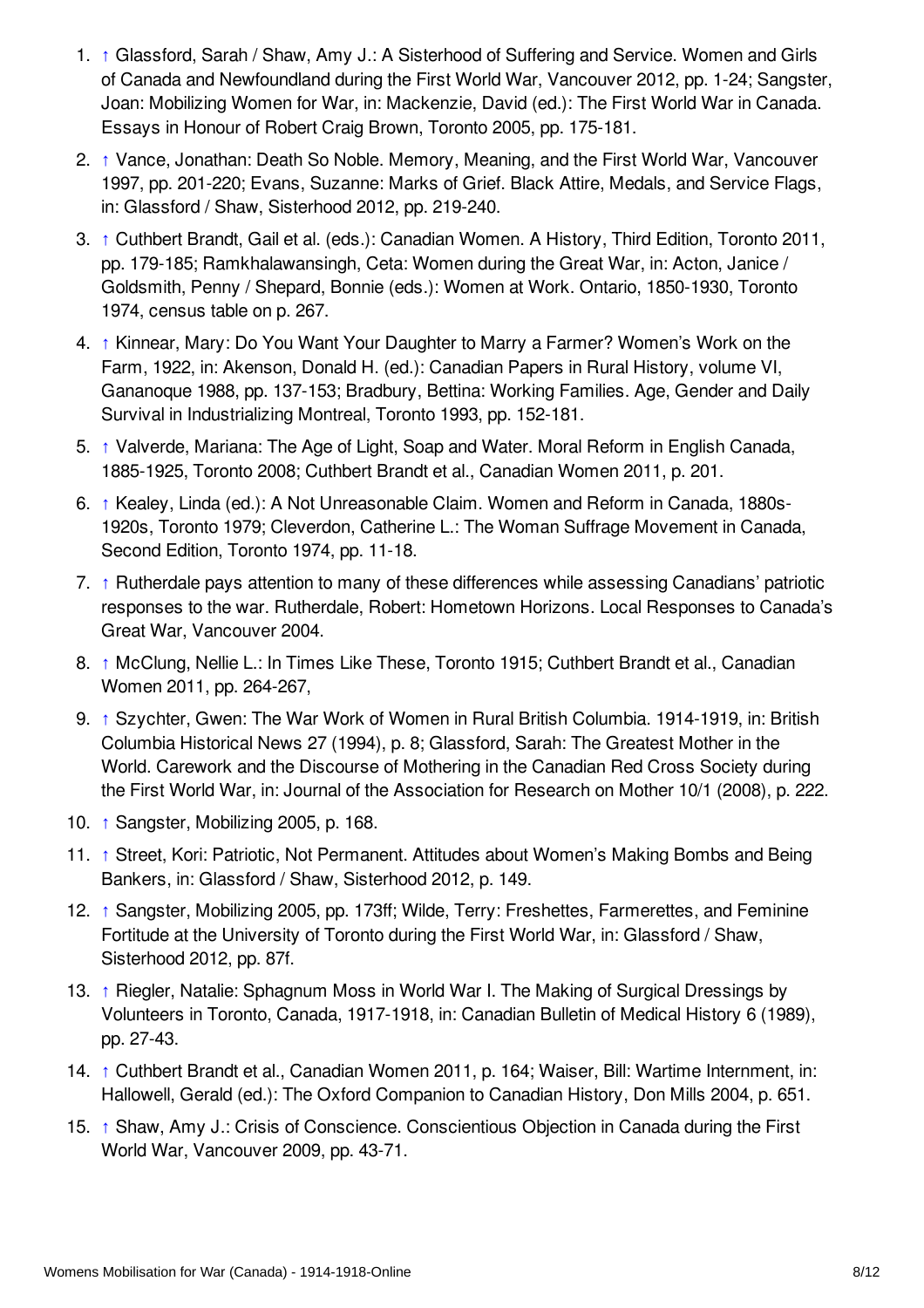- <span id="page-7-0"></span>1. [↑](#page-1-2) Glassford, Sarah / Shaw, Amy J.: A Sisterhood of Suffering and Service. Women and Girls of Canada and Newfoundland during the First World War, Vancouver 2012, pp. 1-24; Sangster, Joan: Mobilizing Women for War, in: Mackenzie, David (ed.): The First World War in Canada. Essays in Honour of Robert Craig Brown, Toronto 2005, pp. 175-181.
- <span id="page-7-1"></span>2. [↑](#page-1-3) Vance, Jonathan: Death So Noble. Memory, Meaning, and the First World War, Vancouver 1997, pp. 201-220; Evans, Suzanne: Marks of Grief. Black Attire, Medals, and Service Flags, in: Glassford / Shaw, Sisterhood 2012, pp. 219-240.
- <span id="page-7-2"></span>3. [↑](#page-1-4) Cuthbert Brandt, Gail et al. (eds.): Canadian Women. A History, Third Edition, Toronto 2011, pp. 179-185; Ramkhalawansingh, Ceta: Women during the Great War, in: Acton, Janice / Goldsmith, Penny / Shepard, Bonnie (eds.): Women at Work. Ontario, 1850-1930, Toronto 1974, census table on p. 267.
- <span id="page-7-3"></span>4. [↑](#page-1-5) Kinnear, Mary: Do You Want Your Daughter to Marry a Farmer? Women's Work on the Farm, 1922, in: Akenson, Donald H. (ed.): Canadian Papers in Rural History, volume VI, Gananoque 1988, pp. 137-153; Bradbury, Bettina: Working Families. Age, Gender and Daily Survival in Industrializing Montreal, Toronto 1993, pp. 152-181.
- <span id="page-7-4"></span>5. [↑](#page-1-6) Valverde, Mariana: The Age of Light, Soap and Water. Moral Reform in English Canada, 1885-1925, Toronto 2008; Cuthbert Brandt et al., Canadian Women 2011, p. 201.
- <span id="page-7-5"></span>6. [↑](#page-1-7) Kealey, Linda (ed.): A Not Unreasonable Claim. Women and Reform in Canada, 1880s-1920s, Toronto 1979; Cleverdon, Catherine L.: The Woman Suffrage Movement in Canada, Second Edition, Toronto 1974, pp. 11-18.
- <span id="page-7-6"></span>7. [↑](#page-2-0) Rutherdale pays attention to many of these differences while assessing Canadians' patriotic responses to the war. Rutherdale, Robert: Hometown Horizons. Local Responses to Canada's Great War, Vancouver 2004.
- <span id="page-7-7"></span>8. [↑](#page-2-1) McClung, Nellie L.: In Times Like These, Toronto 1915; Cuthbert Brandt et al., Canadian Women 2011, pp. 264-267,
- <span id="page-7-8"></span>9. [↑](#page-2-2) Szychter, Gwen: The War Work of Women in Rural British Columbia. 1914-1919, in: British Columbia Historical News 27 (1994), p. 8; Glassford, Sarah: The Greatest Mother in the World. Carework and the Discourse of Mothering in the Canadian Red Cross Society during the First World War, in: Journal of the Association for Research on Mother 10/1 (2008), p. 222.
- <span id="page-7-9"></span>10. [↑](#page-2-3) Sangster, Mobilizing 2005, p. 168.
- <span id="page-7-10"></span>11. [↑](#page-2-4) Street, Kori: Patriotic, Not Permanent. Attitudes about Women's Making Bombs and Being Bankers, in: Glassford / Shaw, Sisterhood 2012, p. 149.
- <span id="page-7-11"></span>12. [↑](#page-3-0) Sangster, Mobilizing 2005, pp. 173ff; Wilde, Terry: Freshettes, Farmerettes, and Feminine Fortitude at the University of Toronto during the First World War, in: Glassford / Shaw, Sisterhood 2012, pp. 87f.
- <span id="page-7-12"></span>13. [↑](#page-3-1) Riegler, Natalie: Sphagnum Moss in World War I. The Making of Surgical Dressings by Volunteers in Toronto, Canada, 1917-1918, in: Canadian Bulletin of Medical History 6 (1989), pp. 27-43.
- <span id="page-7-13"></span>14. [↑](#page-3-2) Cuthbert Brandt et al., Canadian Women 2011, p. 164; Waiser, Bill: Wartime Internment, in: Hallowell, Gerald (ed.): The Oxford Companion to Canadian History, Don Mills 2004, p. 651.
- <span id="page-7-14"></span>15. [↑](#page-3-3) Shaw, Amy J.: Crisis of Conscience. Conscientious Objection in Canada during the First World War, Vancouver 2009, pp. 43-71.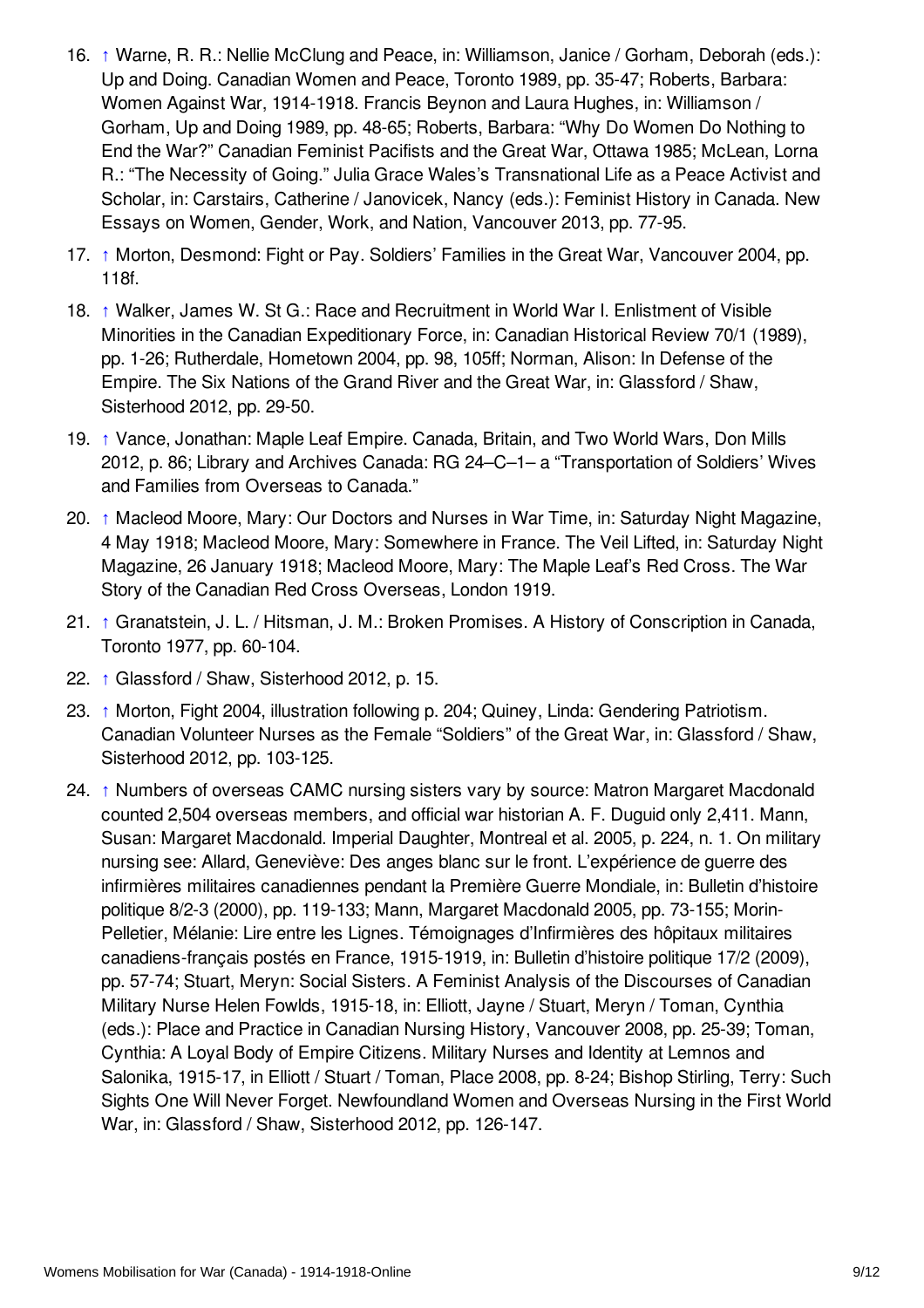- <span id="page-8-0"></span>16. [↑](#page-3-4) Warne, R. R.: Nellie McClung and Peace, in: Williamson, Janice / Gorham, Deborah (eds.): Up and Doing. Canadian Women and Peace, Toronto 1989, pp. 35-47; Roberts, Barbara: Women Against War, 1914-1918. Francis Beynon and Laura Hughes, in: Williamson / Gorham, Up and Doing 1989, pp. 48-65; Roberts, Barbara: "Why Do Women Do Nothing to End the War?" Canadian Feminist Pacifists and the Great War, Ottawa 1985; McLean, Lorna R.: "The Necessity of Going." Julia Grace Wales's Transnational Life as a Peace Activist and Scholar, in: Carstairs, Catherine / Janovicek, Nancy (eds.): Feminist History in Canada. New Essays on Women, Gender, Work, and Nation, Vancouver 2013, pp. 77-95.
- <span id="page-8-1"></span>17. [↑](#page-3-5) Morton, Desmond: Fight or Pay. Soldiers' Families in the Great War, Vancouver 2004, pp. 118f.
- <span id="page-8-2"></span>18. [↑](#page-3-6) Walker, James W. St G.: Race and Recruitment in World War I. Enlistment of Visible Minorities in the Canadian Expeditionary Force, in: Canadian Historical Review 70/1 (1989), pp. 1-26; Rutherdale, Hometown 2004, pp. 98, 105ff; Norman, Alison: In Defense of the Empire. The Six Nations of the Grand River and the Great War, in: Glassford / Shaw, Sisterhood 2012, pp. 29-50.
- <span id="page-8-3"></span>19. [↑](#page-4-1) Vance, Jonathan: Maple Leaf Empire. Canada, Britain, and Two World Wars, Don Mills 2012, p. 86; Library and Archives Canada: RG 24–C–1– a "Transportation of Soldiers' Wives and Families from Overseas to Canada."
- <span id="page-8-4"></span>20. [↑](#page-4-2) Macleod Moore, Mary: Our Doctors and Nurses in War Time, in: Saturday Night Magazine, 4 May 1918; Macleod Moore, Mary: Somewhere in France. The Veil Lifted, in: Saturday Night Magazine, 26 January 1918; Macleod Moore, Mary: The Maple Leaf's Red Cross. The War Story of the Canadian Red Cross Overseas, London 1919.
- <span id="page-8-5"></span>21. [↑](#page-4-3) Granatstein, J. L. / Hitsman, J. M.: Broken Promises. A History of Conscription in Canada, Toronto 1977, pp. 60-104.
- <span id="page-8-6"></span>22. [↑](#page-4-4) Glassford / Shaw, Sisterhood 2012, p. 15.
- <span id="page-8-7"></span>23. [↑](#page-4-5) Morton, Fight 2004, illustration following p. 204; Quiney, Linda: Gendering Patriotism. Canadian Volunteer Nurses as the Female "Soldiers" of the Great War, in: Glassford / Shaw, Sisterhood 2012, pp. 103-125.
- <span id="page-8-8"></span>24. [↑](#page-4-6) Numbers of overseas CAMC nursing sisters vary by source: Matron Margaret Macdonald counted 2,504 overseas members, and official war historian A. F. Duguid only 2,411. Mann, Susan: Margaret Macdonald. Imperial Daughter, Montreal et al. 2005, p. 224, n. 1. On military nursing see: Allard, Geneviève: Des anges blanc sur le front. L'expérience de guerre des infirmières militaires canadiennes pendant la Première Guerre Mondiale, in: Bulletin d'histoire politique 8/2-3 (2000), pp. 119-133; Mann, Margaret Macdonald 2005, pp. 73-155; Morin-Pelletier, Mélanie: Lire entre les Lignes. Témoignages d'Infirmières des hôpitaux militaires canadiens-français postés en France, 1915-1919, in: Bulletin d'histoire politique 17/2 (2009), pp. 57-74; Stuart, Meryn: Social Sisters. A Feminist Analysis of the Discourses of Canadian Military Nurse Helen Fowlds, 1915-18, in: Elliott, Jayne / Stuart, Meryn / Toman, Cynthia (eds.): Place and Practice in Canadian Nursing History, Vancouver 2008, pp. 25-39; Toman, Cynthia: A Loyal Body of Empire Citizens. Military Nurses and Identity at Lemnos and Salonika, 1915-17, in Elliott / Stuart / Toman, Place 2008, pp. 8-24; Bishop Stirling, Terry: Such Sights One Will Never Forget. Newfoundland Women and Overseas Nursing in the First World War, in: Glassford / Shaw, Sisterhood 2012, pp. 126-147.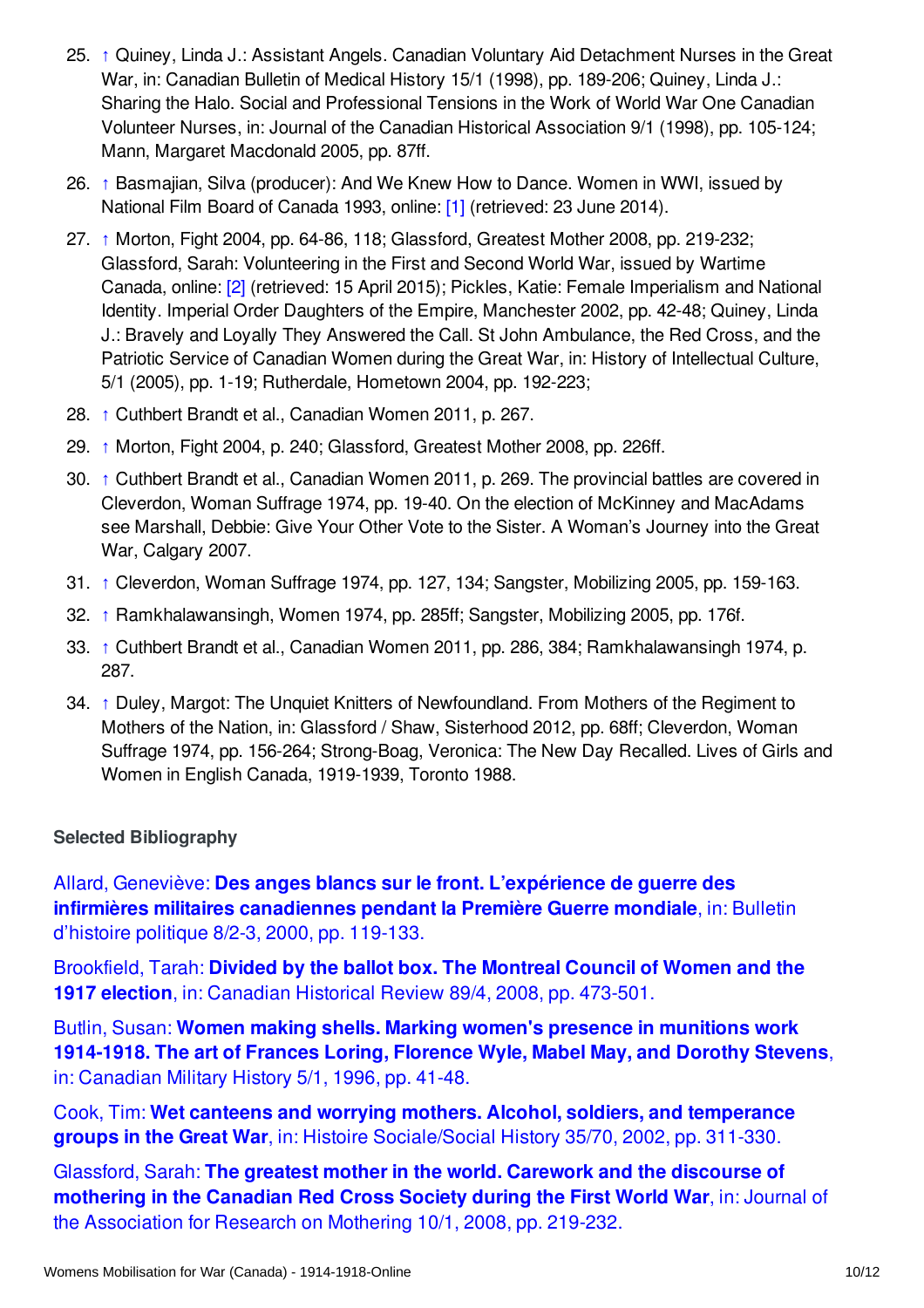- <span id="page-9-1"></span>25. [↑](#page-5-1) Quiney, Linda J.: Assistant Angels. Canadian Voluntary Aid Detachment Nurses in the Great War, in: Canadian Bulletin of Medical History 15/1 (1998), pp. 189-206; Quiney, Linda J.: Sharing the Halo. Social and Professional Tensions in the Work of World War One Canadian Volunteer Nurses, in: Journal of the Canadian Historical Association 9/1 (1998), pp. 105-124; Mann, Margaret Macdonald 2005, pp. 87ff.
- <span id="page-9-2"></span>26. [↑](#page-5-2) Basmajian, Silva (producer): And We Knew How to Dance. Women in WWI, issued by National Film Board of Canada 1993, online: [\[1\]](http://www.nfb.ca/film/and_we_knew_how_to_dance/) (retrieved: 23 June 2014).
- <span id="page-9-3"></span>27. [↑](#page-5-3) Morton, Fight 2004, pp. 64-86, 118; Glassford, Greatest Mother 2008, pp. 219-232; Glassford, Sarah: Volunteering in the First and Second World War, issued by Wartime Canada, online: [\[2\]](http://wartimecanada.ca/essay/volunteering/volunteering-first-and-second-world-war) (retrieved: 15 April 2015); Pickles, Katie: Female Imperialism and National Identity. Imperial Order Daughters of the Empire, Manchester 2002, pp. 42-48; Quiney, Linda J.: Bravely and Loyally They Answered the Call. St John Ambulance, the Red Cross, and the Patriotic Service of Canadian Women during the Great War, in: History of Intellectual Culture, 5/1 (2005), pp. 1-19; Rutherdale, Hometown 2004, pp. 192-223;
- <span id="page-9-4"></span>28. [↑](#page-5-4) Cuthbert Brandt et al., Canadian Women 2011, p. 267.
- <span id="page-9-5"></span>29. [↑](#page-5-5) Morton, Fight 2004, p. 240; Glassford, Greatest Mother 2008, pp. 226ff.
- <span id="page-9-6"></span>30. [↑](#page-6-1) Cuthbert Brandt et al., Canadian Women 2011, p. 269. The provincial battles are covered in Cleverdon, Woman Suffrage 1974, pp. 19-40. On the election of McKinney and MacAdams see Marshall, Debbie: Give Your Other Vote to the Sister. A Woman's Journey into the Great War, Calgary 2007.
- <span id="page-9-7"></span>31. [↑](#page-6-2) Cleverdon, Woman Suffrage 1974, pp. 127, 134; Sangster, Mobilizing 2005, pp. 159-163.
- <span id="page-9-8"></span>32. [↑](#page-6-3) Ramkhalawansingh, Women 1974, pp. 285ff; Sangster, Mobilizing 2005, pp. 176f.
- <span id="page-9-9"></span>33. [↑](#page-6-4) Cuthbert Brandt et al., Canadian Women 2011, pp. 286, 384; Ramkhalawansingh 1974, p. 287.
- <span id="page-9-10"></span>34. [↑](#page-6-5) Duley, Margot: The Unquiet Knitters of Newfoundland. From Mothers of the Regiment to Mothers of the Nation, in: Glassford / Shaw, Sisterhood 2012, pp. 68ff; Cleverdon, Woman Suffrage 1974, pp. 156-264; Strong-Boag, Veronica: The New Day Recalled. Lives of Girls and Women in English Canada, 1919-1939, Toronto 1988.

#### <span id="page-9-0"></span>**Selected Bibliography**

Allard, Geneviève: **Des anges blancs sur le front. L'expérience de guerre des infirmières militaires [canadiennes](https://encyclopedia.1914-1918-online.net/bibliography/K2FC6QZN) pendant la Première Guerre mondiale**, in: Bulletin d'histoire politique 8/2-3, 2000, pp. 119-133.

[Brookfield,](https://encyclopedia.1914-1918-online.net/bibliography/7UH7WVMS) Tarah: **Divided by the ballot box. The Montreal Council of Women and the 1917 election**, in: Canadian Historical Review 89/4, 2008, pp. 473-501.

Butlin, Susan: **Women making shells. Marking women's presence in munitions work [1914-1918.](https://encyclopedia.1914-1918-online.net/bibliography/9F3SMQFN) The art of Frances Loring, Florence Wyle, Mabel May, and Dorothy Stevens**, in: Canadian Military History 5/1, 1996, pp. 41-48.

Cook, Tim: **Wet canteens and worrying mothers. Alcohol, soldiers, and temperance groups in the Great War**, in: Histoire [Sociale/Social](https://encyclopedia.1914-1918-online.net/bibliography/PU7AKBVW) History 35/70, 2002, pp. 311-330.

Glassford, Sarah: **The greatest mother in the world. Carework and the discourse of mothering in the Canadian Red Cross Society during the First World War**, in: Journal of the [Association](https://encyclopedia.1914-1918-online.net/bibliography/P7BZ5ER5) for Research on Mothering 10/1, 2008, pp. 219-232.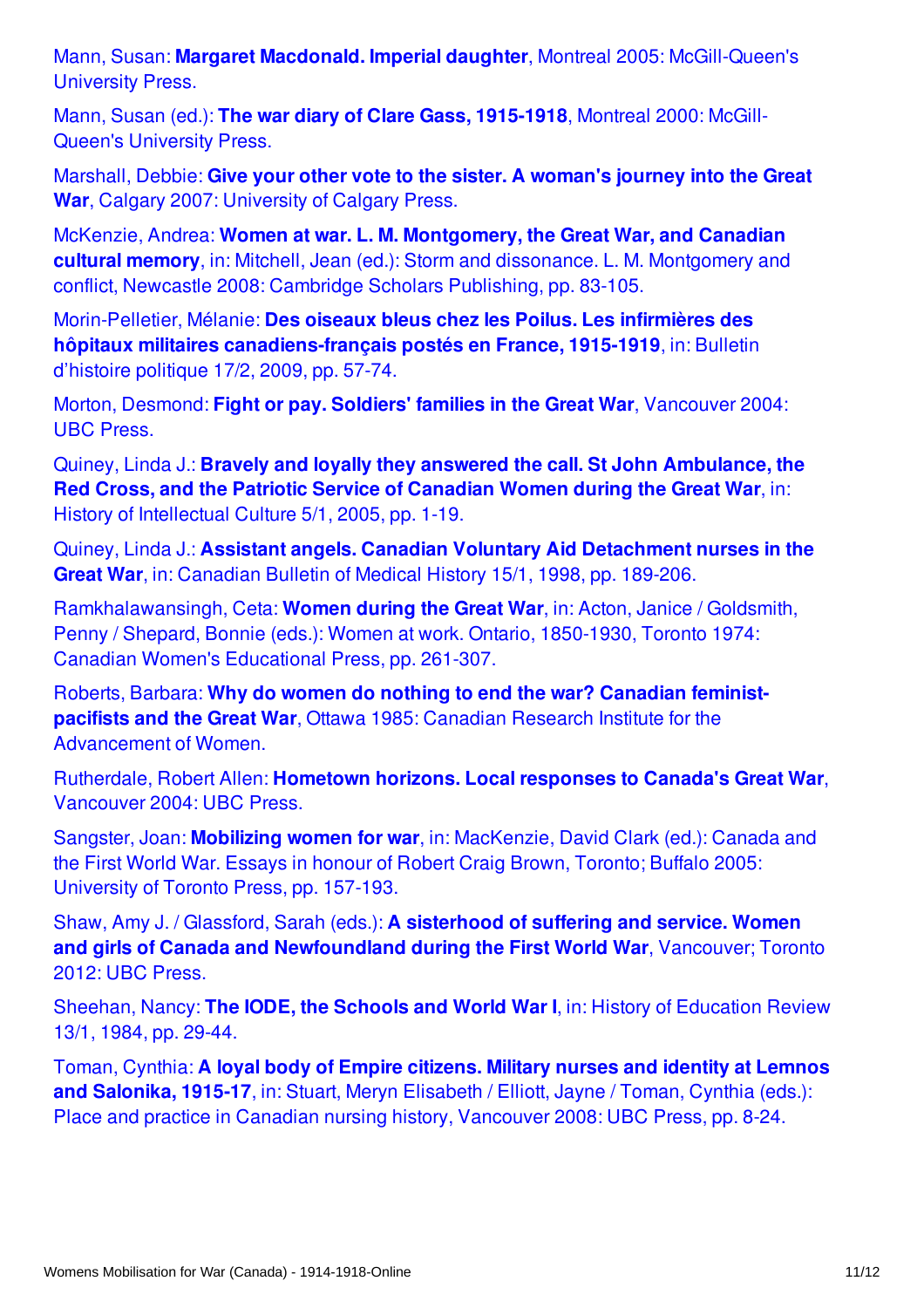Mann, Susan: **Margaret Macdonald. Imperial daughter**, Montreal 2005: [McGill-Queen's](https://encyclopedia.1914-1918-online.net/bibliography/VUWD3Q9W) University Press.

Mann, Susan (ed.): **The war diary of Clare Gass, [1915-1918](https://encyclopedia.1914-1918-online.net/bibliography/VZBSEG4V)**, Montreal 2000: McGill-Queen's University Press.

Marshall, Debbie: **Give your other vote to the sister. A woman's journey into the Great War**, Calgary 2007: [University](https://encyclopedia.1914-1918-online.net/bibliography/Z8WAJMSS) of Calgary Press.

McKenzie, Andrea: **Women at war. L. M. [Montgomery,](https://encyclopedia.1914-1918-online.net/bibliography/T7DFBZHC) the Great War, and Canadian cultural memory**, in: Mitchell, Jean (ed.): Storm and dissonance. L. M. Montgomery and conflict, Newcastle 2008: Cambridge Scholars Publishing, pp. 83-105.

Morin-Pelletier, Mélanie: **Des oiseaux bleus chez les Poilus. Les infirmières des hôpitaux militaires [canadiens-français](https://encyclopedia.1914-1918-online.net/bibliography/ZSG8BKJU) postés en France, 1915-1919**, in: Bulletin d'histoire politique 17/2, 2009, pp. 57-74.

Morton, Desmond: **Fight or pay. Soldiers' families in the Great War**, [Vancouver](https://encyclopedia.1914-1918-online.net/bibliography/QHMD7VEP) 2004: UBC Press.

Quiney, Linda J.: **Bravely and loyally they answered the call. St John [Ambulance,](https://encyclopedia.1914-1918-online.net/bibliography/8AAUQQDI) the Red Cross, and the Patriotic Service of Canadian Women during the Great War**, in: History of Intellectual Culture 5/1, 2005, pp. 1-19.

Quiney, Linda J.: **Assistant angels. Canadian Voluntary Aid [Detachment](https://encyclopedia.1914-1918-online.net/bibliography/CRTH6MZA) nurses in the Great War**, in: Canadian Bulletin of Medical History 15/1, 1998, pp. 189-206.

[Ramkhalawansingh,](https://encyclopedia.1914-1918-online.net/bibliography/6M2TF4ME) Ceta: **Women during the Great War**, in: Acton, Janice / Goldsmith, Penny / Shepard, Bonnie (eds.): Women at work. Ontario, 1850-1930, Toronto 1974: Canadian Women's Educational Press, pp. 261-307.

Roberts, Barbara: **Why do women do nothing to end the war? Canadian feministpacifists and the Great War**, Ottawa 1985: Canadian Research Institute for the [Advancement](https://encyclopedia.1914-1918-online.net/bibliography/C8KQG5QK) of Women.

[Rutherdale,](https://encyclopedia.1914-1918-online.net/bibliography/KD7S9EGX) Robert Allen: **Hometown horizons. Local responses to Canada's Great War**, Vancouver 2004: UBC Press.

Sangster, Joan: **Mobilizing women for war**, in: [MacKenzie,](https://encyclopedia.1914-1918-online.net/bibliography/WMTHK556) David Clark (ed.): Canada and the First World War. Essays in honour of Robert Craig Brown, Toronto; Buffalo 2005: University of Toronto Press, pp. 157-193.

Shaw, Amy J. / Glassford, Sarah (eds.): **A sisterhood of suffering and service. Women and girls of Canada and [Newfoundland](https://encyclopedia.1914-1918-online.net/bibliography/AVBFF9Q8) during the First World War**, Vancouver; Toronto 2012: UBC Press.

Sheehan, Nancy: **The IODE, the Schools and World War I**, in: History of [Education](https://encyclopedia.1914-1918-online.net/bibliography/5JRFQKJI) Review 13/1, 1984, pp. 29-44.

Toman, Cynthia: **A loyal body of Empire citizens. Military nurses and identity at Lemnos and Salonika, 1915-17**, in: Stuart, Meryn Elisabeth / Elliott, Jayne / Toman, Cynthia (eds.): Place and practice in Canadian nursing history, [Vancouver](https://encyclopedia.1914-1918-online.net/bibliography/4NAJSWBN) 2008: UBC Press, pp. 8-24.